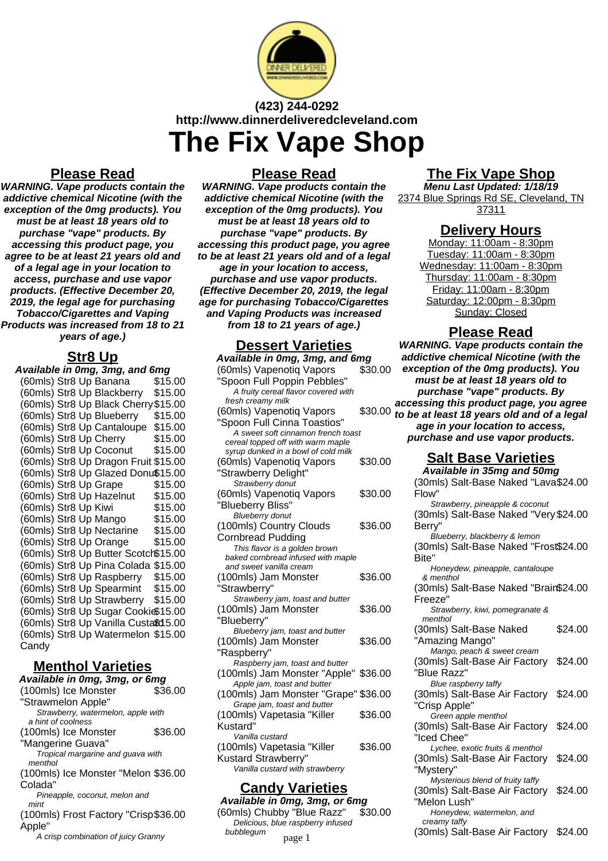

# **(423) 244-0292 http://www.dinnerdeliveredcleveland.com The Fix Vape Shop**

## **Please Read**

**WARNING. Vape products contain the addictive chemical Nicotine (with the exception of the 0mg products). You must be at least 18 years old to purchase "vape" products. By accessing this product page, you agree to be at least 21 years old and of a legal age in your location to access, purchase and use vapor products. (Effective December 20, 2019, the legal age for purchasing Tobacco/Cigarettes and Vaping Products was increased from 18 to 21 years of age.)**

### **Str8 Up**

| <u>.</u>                               |  |  |  |
|----------------------------------------|--|--|--|
| Available in 0mg, 3mg, and 6mg         |  |  |  |
| (60mls) Str8 Up Banana<br>\$15.00      |  |  |  |
| (60mls) Str8 Up Blackberry<br>\$15.00  |  |  |  |
| (60mls) Str8 Up Black Cherry \$15.00   |  |  |  |
| (60mls) Str8 Up Blueberry<br>\$15.00   |  |  |  |
| (60mls) Str8 Up Cantaloupe<br>\$15.00  |  |  |  |
| \$15.00<br>(60mls) Str8 Up Cherry      |  |  |  |
| (60mls) Str8 Up Coconut<br>\$15.00     |  |  |  |
| (60mls) Str8 Up Dragon Fruit \$15.00   |  |  |  |
| (60mls) Str8 Up Glazed Donu\$15.00     |  |  |  |
| (60mls) Str8 Up Grape<br>\$15.00       |  |  |  |
| (60mls) Str8 Up Hazelnut<br>\$15.00    |  |  |  |
| (60mls) Str8 Up Kiwi<br>\$15.00        |  |  |  |
| (60mls) Str8 Up Mango<br>\$15.00       |  |  |  |
| (60mls) Str8 Up Nectarine<br>\$15.00   |  |  |  |
| (60mls) Str8 Up Orange<br>\$15.00      |  |  |  |
| (60mls) Str8 Up Butter Scotch\$15.00   |  |  |  |
| (60mls) Str8 Up Pina Colada<br>\$15.00 |  |  |  |
| (60mls) Str8 Up Raspberry<br>\$15.00   |  |  |  |
| (60mls) Str8 Up Spearmint<br>\$15.00   |  |  |  |
| (60mls) Str8 Up Strawberry<br>\$15.00  |  |  |  |
| (60mls) Str8 Up Sugar Cookis\$15.00    |  |  |  |
| (60mls) Str8 Up Vanilla Custa\$d 5.00  |  |  |  |
| (60mls) Str8 Up Watermelon \$15.00     |  |  |  |
| Candy                                  |  |  |  |
|                                        |  |  |  |

## **Menthol Varieties**

**Available in 0mg, 3mg, or 6mg** (100mls) Ice Monster "Strawmelon Apple" \$36.00 Strawberry, watermelon, apple with a hint of coolness (100mls) Ice Monster "Mangerine Guava" \$36.00 Tropical margarine and guava with menthol (100mls) Ice Monster "Melon \$36.00 Colada" Pineapple, coconut, melon and mint (100mls) Frost Factory "Crisp \$36.00 Apple" A crisp combination of juicy Granny

### **Please Read**

**WARNING. Vape products contain the addictive chemical Nicotine (with the exception of the 0mg products). You must be at least 18 years old to purchase "vape" products. By accessing this product page, you agree to be at least 21 years old and of a legal age in your location to access, purchase and use vapor products. (Effective December 20, 2019, the legal age for purchasing Tobacco/Cigarettes and Vaping Products was increased from 18 to 21 years of age.)**

### **Dessert Varieties**

| Available in 0mg, 3mg, and 6mg                                      |         |  |
|---------------------------------------------------------------------|---------|--|
| (60mls) Vapenotiq Vapors                                            | \$30.00 |  |
| "Spoon Full Poppin Pebbles"                                         |         |  |
| A fruity cereal flavor covered with                                 |         |  |
| fresh creamy milk                                                   |         |  |
| (60mls) Vapenotiq Vapors                                            | \$30.00 |  |
| "Spoon Full Cinna Toastios"                                         |         |  |
| A sweet soft cinnamon french toast                                  |         |  |
| cereal topped off with warm maple                                   |         |  |
| syrup dunked in a bowl of cold milk                                 |         |  |
| (60mls) Vapenotiq Vapors                                            | \$30.00 |  |
| 'Strawberry Delight"                                                |         |  |
| Strawberry donut                                                    |         |  |
| (60mls) Vapenotiq Vapors                                            | \$30.00 |  |
| "Blueberry Bliss"                                                   |         |  |
| <b>Blueberry donut</b>                                              |         |  |
| (100mls) Country Clouds                                             | \$36.00 |  |
| <b>Cornbread Pudding</b>                                            |         |  |
| This flavor is a golden brown                                       |         |  |
| baked cornbread infused with maple                                  |         |  |
| and sweet vanilla cream                                             |         |  |
| (100mls) Jam Monster                                                | \$36.00 |  |
| "Strawberry"                                                        |         |  |
| Strawberry jam, toast and butter                                    |         |  |
| (100mls) Jam Monster                                                | \$36.00 |  |
| "Blueberry"                                                         |         |  |
| Blueberry jam, toast and butter                                     |         |  |
| (100mls) Jam Monster                                                | \$36.00 |  |
| "Raspberry"                                                         |         |  |
| Raspberry jam, toast and butter                                     |         |  |
| (100mls) Jam Monster "Apple"                                        | \$36.00 |  |
| Apple jam, toast and butter<br>(100mls) Jam Monster "Grape" \$36.00 |         |  |
| Grape jam, toast and butter                                         |         |  |
| (100mls) Vapetasia "Killer                                          | \$36.00 |  |
| Kustard"                                                            |         |  |
| Vanilla custard                                                     |         |  |
| (100mls) Vapetasia "Killer                                          | \$36.00 |  |
| <b>Kustard Strawberry"</b>                                          |         |  |
| Vanilla custard with strawberry                                     |         |  |
|                                                                     |         |  |
| <u> Candy Varieties</u>                                             |         |  |

#### **Available in 0mg, 3mg, or 6mg** (60mls) Chubby "Blue Razz" \$30.00 Delicious, blue raspberry infused bubblegum

## **The Fix Vape Shop**

**Menu Last Updated: 1/18/19** 2374 Blue Springs Rd SE, Cleveland, TN 37311

### **Delivery Hours**

Monday: 11:00am - 8:30pm Tuesday: 11:00am - 8:30pm Wednesday: 11:00am - 8:30pm Thursday: 11:00am - 8:30pm Friday: 11:00am - 8:30pm Saturday: 12:00pm - 8:30pm Sunday: Closed

## **Please Read**

**WARNING. Vape products contain the addictive chemical Nicotine (with the exception of the 0mg products). You must be at least 18 years old to purchase "vape" products. By accessing this product page, you agree to be at least 18 years old and of a legal age in your location to access, purchase and use vapor products.**

## **Salt Base Varieties**

**Available in 35mg and 50mg** (30mls) Salt-Base Naked "Lava \$24.00 Flow" Strawberry, pineapple & coconut (30mls) Salt-Base Naked "Very \$24.00 Berry" Blueberry, blackberry & lemon (30mls) Salt-Base Naked "Frost \$24.00 Bite" Honeydew, pineapple, cantaloupe & menthol (30mls) Salt-Base Naked "Brain \$24.00 Freeze" Strawberry, kiwi, pomegranate & menthol (30mls) Salt-Base Naked "Amazing Mango" \$24.00 Mango, peach & sweet cream (30mls) Salt-Base Air Factory "Blue Razz" \$24.00 Blue raspberry taffy (30mls) Salt-Base Air Factory \$24.00 "Crisp Apple" Green apple menthol (30mls) Salt-Base Air Factory "Iced Chee" \$24.00 Lychee, exotic fruits & menthol (30mls) Salt-Base Air Factory "Mystery" \$24.00 Mysterious blend of fruity taffy (30mls) Salt-Base Air Factory "Melon Lush" \$24.00 Honeydew, watermelon, and creamy taffy page 1 (30mls) Salt-Base Air Factory \$24.00